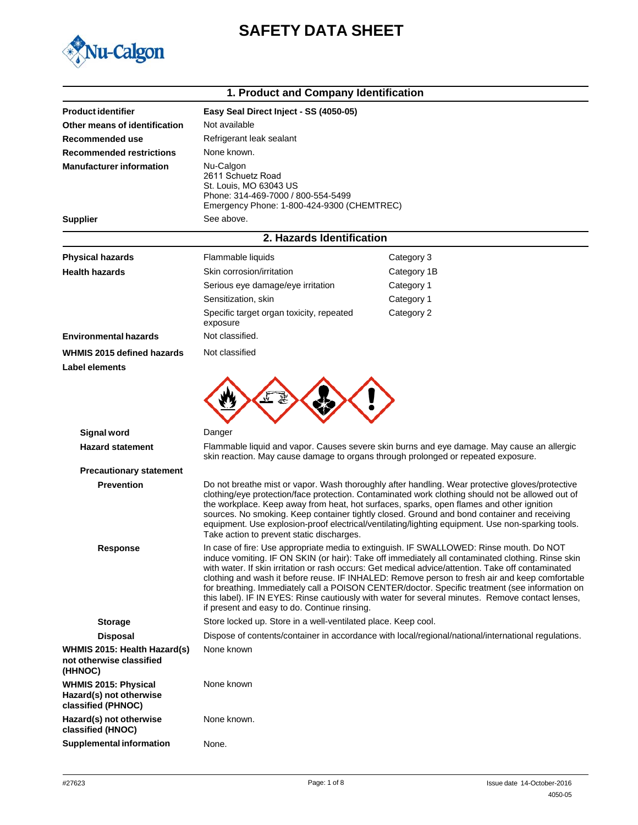



| 1. Product and Company Identification                                 |                                                                                                                                                                                                                                                                                                                                                                                                                                                                                                                                                                                                                                                            |                                                                                                     |  |
|-----------------------------------------------------------------------|------------------------------------------------------------------------------------------------------------------------------------------------------------------------------------------------------------------------------------------------------------------------------------------------------------------------------------------------------------------------------------------------------------------------------------------------------------------------------------------------------------------------------------------------------------------------------------------------------------------------------------------------------------|-----------------------------------------------------------------------------------------------------|--|
| <b>Product identifier</b>                                             | Easy Seal Direct Inject - SS (4050-05)                                                                                                                                                                                                                                                                                                                                                                                                                                                                                                                                                                                                                     |                                                                                                     |  |
| Other means of identification                                         | Not available                                                                                                                                                                                                                                                                                                                                                                                                                                                                                                                                                                                                                                              |                                                                                                     |  |
| Recommended use                                                       | Refrigerant leak sealant                                                                                                                                                                                                                                                                                                                                                                                                                                                                                                                                                                                                                                   |                                                                                                     |  |
| <b>Recommended restrictions</b>                                       | None known.                                                                                                                                                                                                                                                                                                                                                                                                                                                                                                                                                                                                                                                |                                                                                                     |  |
| <b>Manufacturer information</b>                                       | Nu-Calgon<br>2611 Schuetz Road<br>St. Louis, MO 63043 US<br>Phone: 314-469-7000 / 800-554-5499<br>Emergency Phone: 1-800-424-9300 (CHEMTREC)                                                                                                                                                                                                                                                                                                                                                                                                                                                                                                               |                                                                                                     |  |
| <b>Supplier</b>                                                       | See above.                                                                                                                                                                                                                                                                                                                                                                                                                                                                                                                                                                                                                                                 |                                                                                                     |  |
|                                                                       | 2. Hazards Identification                                                                                                                                                                                                                                                                                                                                                                                                                                                                                                                                                                                                                                  |                                                                                                     |  |
| <b>Physical hazards</b>                                               | Flammable liquids                                                                                                                                                                                                                                                                                                                                                                                                                                                                                                                                                                                                                                          | Category 3                                                                                          |  |
| <b>Health hazards</b>                                                 | Skin corrosion/irritation                                                                                                                                                                                                                                                                                                                                                                                                                                                                                                                                                                                                                                  | Category 1B                                                                                         |  |
|                                                                       | Serious eye damage/eye irritation                                                                                                                                                                                                                                                                                                                                                                                                                                                                                                                                                                                                                          | Category 1                                                                                          |  |
|                                                                       | Sensitization, skin                                                                                                                                                                                                                                                                                                                                                                                                                                                                                                                                                                                                                                        | Category 1                                                                                          |  |
|                                                                       | Specific target organ toxicity, repeated<br>exposure                                                                                                                                                                                                                                                                                                                                                                                                                                                                                                                                                                                                       | Category 2                                                                                          |  |
| <b>Environmental hazards</b>                                          | Not classified.                                                                                                                                                                                                                                                                                                                                                                                                                                                                                                                                                                                                                                            |                                                                                                     |  |
| WHMIS 2015 defined hazards<br><b>Label elements</b>                   | Not classified                                                                                                                                                                                                                                                                                                                                                                                                                                                                                                                                                                                                                                             |                                                                                                     |  |
|                                                                       |                                                                                                                                                                                                                                                                                                                                                                                                                                                                                                                                                                                                                                                            |                                                                                                     |  |
| <b>Signal word</b>                                                    | Danger                                                                                                                                                                                                                                                                                                                                                                                                                                                                                                                                                                                                                                                     |                                                                                                     |  |
| <b>Hazard statement</b>                                               | Flammable liquid and vapor. Causes severe skin burns and eye damage. May cause an allergic<br>skin reaction. May cause damage to organs through prolonged or repeated exposure.                                                                                                                                                                                                                                                                                                                                                                                                                                                                            |                                                                                                     |  |
| <b>Precautionary statement</b>                                        |                                                                                                                                                                                                                                                                                                                                                                                                                                                                                                                                                                                                                                                            |                                                                                                     |  |
| <b>Prevention</b>                                                     | Do not breathe mist or vapor. Wash thoroughly after handling. Wear protective gloves/protective<br>clothing/eye protection/face protection. Contaminated work clothing should not be allowed out of<br>the workplace. Keep away from heat, hot surfaces, sparks, open flames and other ignition<br>sources. No smoking. Keep container tightly closed. Ground and bond container and receiving<br>equipment. Use explosion-proof electrical/ventilating/lighting equipment. Use non-sparking tools.<br>Take action to prevent static discharges.                                                                                                           |                                                                                                     |  |
| <b>Response</b>                                                       | In case of fire: Use appropriate media to extinguish. IF SWALLOWED: Rinse mouth. Do NOT<br>induce vomiting. IF ON SKIN (or hair): Take off immediately all contaminated clothing. Rinse skin<br>with water. If skin irritation or rash occurs: Get medical advice/attention. Take off contaminated<br>clothing and wash it before reuse. IF INHALED: Remove person to fresh air and keep comfortable<br>for breathing. Immediately call a POISON CENTER/doctor. Specific treatment (see information on<br>this label). IF IN EYES: Rinse cautiously with water for several minutes. Remove contact lenses,<br>if present and easy to do. Continue rinsing. |                                                                                                     |  |
| <b>Storage</b>                                                        | Store locked up. Store in a well-ventilated place. Keep cool.                                                                                                                                                                                                                                                                                                                                                                                                                                                                                                                                                                                              |                                                                                                     |  |
| <b>Disposal</b>                                                       |                                                                                                                                                                                                                                                                                                                                                                                                                                                                                                                                                                                                                                                            | Dispose of contents/container in accordance with local/regional/national/international regulations. |  |
| WHMIS 2015: Health Hazard(s)<br>not otherwise classified<br>(HHNOC)   | None known                                                                                                                                                                                                                                                                                                                                                                                                                                                                                                                                                                                                                                                 |                                                                                                     |  |
| WHMIS 2015: Physical<br>Hazard(s) not otherwise<br>classified (PHNOC) | None known                                                                                                                                                                                                                                                                                                                                                                                                                                                                                                                                                                                                                                                 |                                                                                                     |  |
| Hazard(s) not otherwise<br>classified (HNOC)                          | None known.                                                                                                                                                                                                                                                                                                                                                                                                                                                                                                                                                                                                                                                |                                                                                                     |  |
| <b>Supplemental information</b>                                       | None.                                                                                                                                                                                                                                                                                                                                                                                                                                                                                                                                                                                                                                                      |                                                                                                     |  |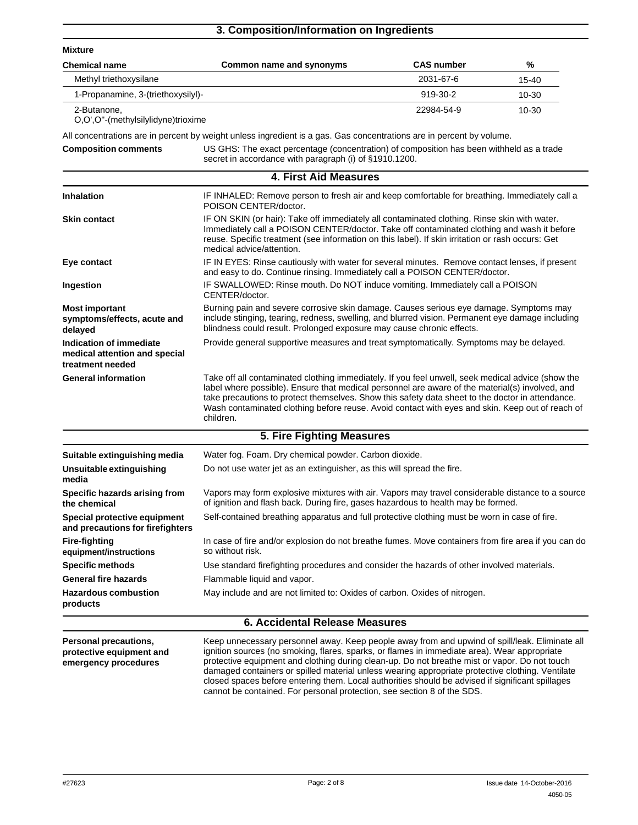## **3. Composition/Information on Ingredients**

| <b>Mixture</b>                                                                                                                                                                    |                                                                                                                                                                                                                                                                                                                                                                                                                          |                                                                                                                                                                              |       |  |
|-----------------------------------------------------------------------------------------------------------------------------------------------------------------------------------|--------------------------------------------------------------------------------------------------------------------------------------------------------------------------------------------------------------------------------------------------------------------------------------------------------------------------------------------------------------------------------------------------------------------------|------------------------------------------------------------------------------------------------------------------------------------------------------------------------------|-------|--|
| <b>Chemical name</b>                                                                                                                                                              | Common name and synonyms                                                                                                                                                                                                                                                                                                                                                                                                 | <b>CAS number</b>                                                                                                                                                            | %     |  |
| Methyl triethoxysilane                                                                                                                                                            |                                                                                                                                                                                                                                                                                                                                                                                                                          | 2031-67-6                                                                                                                                                                    | 15-40 |  |
| 1-Propanamine, 3-(triethoxysilyl)-                                                                                                                                                |                                                                                                                                                                                                                                                                                                                                                                                                                          | 919-30-2                                                                                                                                                                     | 10-30 |  |
| 2-Butanone.<br>O.O'.O"-(methylsilylidyne)trioxime                                                                                                                                 |                                                                                                                                                                                                                                                                                                                                                                                                                          | 22984-54-9                                                                                                                                                                   | 10-30 |  |
|                                                                                                                                                                                   | All concentrations are in percent by weight unless ingredient is a gas. Gas concentrations are in percent by volume.                                                                                                                                                                                                                                                                                                     |                                                                                                                                                                              |       |  |
| <b>Composition comments</b><br>US GHS: The exact percentage (concentration) of composition has been withheld as a trade<br>secret in accordance with paragraph (i) of §1910.1200. |                                                                                                                                                                                                                                                                                                                                                                                                                          |                                                                                                                                                                              |       |  |
|                                                                                                                                                                                   | <b>4. First Aid Measures</b>                                                                                                                                                                                                                                                                                                                                                                                             |                                                                                                                                                                              |       |  |
| <b>Inhalation</b>                                                                                                                                                                 | IF INHALED: Remove person to fresh air and keep comfortable for breathing. Immediately call a<br>POISON CENTER/doctor.                                                                                                                                                                                                                                                                                                   |                                                                                                                                                                              |       |  |
| <b>Skin contact</b>                                                                                                                                                               | IF ON SKIN (or hair): Take off immediately all contaminated clothing. Rinse skin with water.<br>Immediately call a POISON CENTER/doctor. Take off contaminated clothing and wash it before<br>reuse. Specific treatment (see information on this label). If skin irritation or rash occurs: Get<br>medical advice/attention.                                                                                             |                                                                                                                                                                              |       |  |
| Eye contact                                                                                                                                                                       |                                                                                                                                                                                                                                                                                                                                                                                                                          | IF IN EYES: Rinse cautiously with water for several minutes. Remove contact lenses, if present<br>and easy to do. Continue rinsing. Immediately call a POISON CENTER/doctor. |       |  |
| Ingestion                                                                                                                                                                         | IF SWALLOWED: Rinse mouth. Do NOT induce vomiting. Immediately call a POISON<br>CENTER/doctor.                                                                                                                                                                                                                                                                                                                           |                                                                                                                                                                              |       |  |
| <b>Most important</b><br>symptoms/effects, acute and<br>delayed                                                                                                                   | Burning pain and severe corrosive skin damage. Causes serious eye damage. Symptoms may<br>include stinging, tearing, redness, swelling, and blurred vision. Permanent eye damage including<br>blindness could result. Prolonged exposure may cause chronic effects.                                                                                                                                                      |                                                                                                                                                                              |       |  |
| Indication of immediate<br>medical attention and special<br>treatment needed                                                                                                      | Provide general supportive measures and treat symptomatically. Symptoms may be delayed.                                                                                                                                                                                                                                                                                                                                  |                                                                                                                                                                              |       |  |
| <b>General information</b>                                                                                                                                                        | Take off all contaminated clothing immediately. If you feel unwell, seek medical advice (show the<br>label where possible). Ensure that medical personnel are aware of the material(s) involved, and<br>take precautions to protect themselves. Show this safety data sheet to the doctor in attendance.<br>Wash contaminated clothing before reuse. Avoid contact with eyes and skin. Keep out of reach of<br>children. |                                                                                                                                                                              |       |  |
|                                                                                                                                                                                   | 5. Fire Fighting Measures                                                                                                                                                                                                                                                                                                                                                                                                |                                                                                                                                                                              |       |  |
| Suitable extinguishing media                                                                                                                                                      | Water fog. Foam. Dry chemical powder. Carbon dioxide.                                                                                                                                                                                                                                                                                                                                                                    |                                                                                                                                                                              |       |  |
| Unsuitable extinguishing<br>media                                                                                                                                                 | Do not use water jet as an extinguisher, as this will spread the fire.                                                                                                                                                                                                                                                                                                                                                   |                                                                                                                                                                              |       |  |
| Specific hazards arising from<br>the chemical                                                                                                                                     | Vapors may form explosive mixtures with air. Vapors may travel considerable distance to a source<br>of ignition and flash back. During fire, gases hazardous to health may be formed.                                                                                                                                                                                                                                    |                                                                                                                                                                              |       |  |
| Special protective equipment<br>and precautions for firefighters                                                                                                                  | Self-contained breathing apparatus and full protective clothing must be worn in case of fire.                                                                                                                                                                                                                                                                                                                            |                                                                                                                                                                              |       |  |
| <b>Fire-fighting</b><br>equipment/instructions                                                                                                                                    | In case of fire and/or explosion do not breathe fumes. Move containers from fire area if you can do<br>so without risk.                                                                                                                                                                                                                                                                                                  |                                                                                                                                                                              |       |  |
| <b>Specific methods</b>                                                                                                                                                           | Use standard firefighting procedures and consider the hazards of other involved materials.                                                                                                                                                                                                                                                                                                                               |                                                                                                                                                                              |       |  |
| <b>General fire hazards</b>                                                                                                                                                       | Flammable liquid and vapor.                                                                                                                                                                                                                                                                                                                                                                                              |                                                                                                                                                                              |       |  |
| <b>Hazardous combustion</b><br>products                                                                                                                                           | May include and are not limited to: Oxides of carbon. Oxides of nitrogen.                                                                                                                                                                                                                                                                                                                                                |                                                                                                                                                                              |       |  |
|                                                                                                                                                                                   | <b>6. Accidental Release Measures</b>                                                                                                                                                                                                                                                                                                                                                                                    |                                                                                                                                                                              |       |  |
| Personal precautions,                                                                                                                                                             | Keep unnecessary personnel away. Keep people away from and upwind of spill/leak. Eliminate all                                                                                                                                                                                                                                                                                                                           |                                                                                                                                                                              |       |  |

**protective equipment and emergency procedures**

ignition sources (no smoking, flares, sparks, or flames in immediate area). Wear appropriate protective equipment and clothing during clean-up. Do not breathe mist or vapor. Do not touch damaged containers or spilled material unless wearing appropriate protective clothing. Ventilate closed spaces before entering them. Local authorities should be advised if significant spillages cannot be contained. For personal protection, see section 8 of the SDS.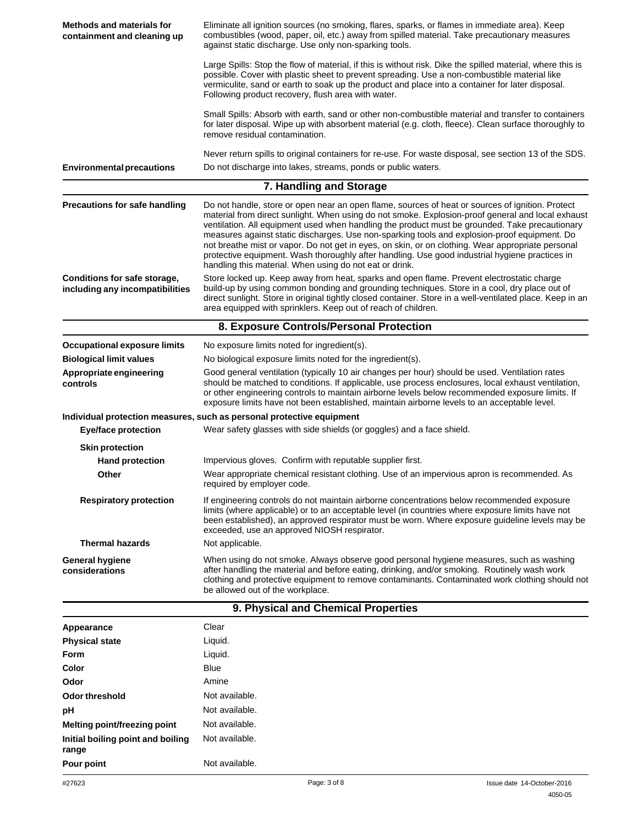| <b>Methods and materials for</b><br>containment and cleaning up | Eliminate all ignition sources (no smoking, flares, sparks, or flames in immediate area). Keep<br>combustibles (wood, paper, oil, etc.) away from spilled material. Take precautionary measures<br>against static discharge. Use only non-sparking tools.                                                                                                                                                                                                                                                                                                                                                                                                                 |                            |
|-----------------------------------------------------------------|---------------------------------------------------------------------------------------------------------------------------------------------------------------------------------------------------------------------------------------------------------------------------------------------------------------------------------------------------------------------------------------------------------------------------------------------------------------------------------------------------------------------------------------------------------------------------------------------------------------------------------------------------------------------------|----------------------------|
|                                                                 | Large Spills: Stop the flow of material, if this is without risk. Dike the spilled material, where this is<br>possible. Cover with plastic sheet to prevent spreading. Use a non-combustible material like<br>vermiculite, sand or earth to soak up the product and place into a container for later disposal.<br>Following product recovery, flush area with water.                                                                                                                                                                                                                                                                                                      |                            |
|                                                                 | Small Spills: Absorb with earth, sand or other non-combustible material and transfer to containers<br>for later disposal. Wipe up with absorbent material (e.g. cloth, fleece). Clean surface thoroughly to<br>remove residual contamination.                                                                                                                                                                                                                                                                                                                                                                                                                             |                            |
| <b>Environmental precautions</b>                                | Never return spills to original containers for re-use. For waste disposal, see section 13 of the SDS.<br>Do not discharge into lakes, streams, ponds or public waters.                                                                                                                                                                                                                                                                                                                                                                                                                                                                                                    |                            |
|                                                                 | 7. Handling and Storage                                                                                                                                                                                                                                                                                                                                                                                                                                                                                                                                                                                                                                                   |                            |
| <b>Precautions for safe handling</b>                            | Do not handle, store or open near an open flame, sources of heat or sources of ignition. Protect<br>material from direct sunlight. When using do not smoke. Explosion-proof general and local exhaust<br>ventilation. All equipment used when handling the product must be grounded. Take precautionary<br>measures against static discharges. Use non-sparking tools and explosion-proof equipment. Do<br>not breathe mist or vapor. Do not get in eyes, on skin, or on clothing. Wear appropriate personal<br>protective equipment. Wash thoroughly after handling. Use good industrial hygiene practices in<br>handling this material. When using do not eat or drink. |                            |
| Conditions for safe storage,<br>including any incompatibilities | Store locked up. Keep away from heat, sparks and open flame. Prevent electrostatic charge<br>build-up by using common bonding and grounding techniques. Store in a cool, dry place out of<br>direct sunlight. Store in original tightly closed container. Store in a well-ventilated place. Keep in an<br>area equipped with sprinklers. Keep out of reach of children.                                                                                                                                                                                                                                                                                                   |                            |
|                                                                 | 8. Exposure Controls/Personal Protection                                                                                                                                                                                                                                                                                                                                                                                                                                                                                                                                                                                                                                  |                            |
| <b>Occupational exposure limits</b>                             | No exposure limits noted for ingredient(s).                                                                                                                                                                                                                                                                                                                                                                                                                                                                                                                                                                                                                               |                            |
| <b>Biological limit values</b>                                  | No biological exposure limits noted for the ingredient(s).                                                                                                                                                                                                                                                                                                                                                                                                                                                                                                                                                                                                                |                            |
| Appropriate engineering<br>controls                             | Good general ventilation (typically 10 air changes per hour) should be used. Ventilation rates<br>should be matched to conditions. If applicable, use process enclosures, local exhaust ventilation,<br>or other engineering controls to maintain airborne levels below recommended exposure limits. If<br>exposure limits have not been established, maintain airborne levels to an acceptable level.                                                                                                                                                                                                                                                                    |                            |
|                                                                 | Individual protection measures, such as personal protective equipment                                                                                                                                                                                                                                                                                                                                                                                                                                                                                                                                                                                                     |                            |
| <b>Eye/face protection</b>                                      | Wear safety glasses with side shields (or goggles) and a face shield.                                                                                                                                                                                                                                                                                                                                                                                                                                                                                                                                                                                                     |                            |
| <b>Skin protection</b>                                          |                                                                                                                                                                                                                                                                                                                                                                                                                                                                                                                                                                                                                                                                           |                            |
| <b>Hand protection</b>                                          | Impervious gloves. Confirm with reputable supplier first.                                                                                                                                                                                                                                                                                                                                                                                                                                                                                                                                                                                                                 |                            |
| Other                                                           | Wear appropriate chemical resistant clothing. Use of an impervious apron is recommended. As<br>required by employer code.                                                                                                                                                                                                                                                                                                                                                                                                                                                                                                                                                 |                            |
| <b>Respiratory protection</b>                                   | If engineering controls do not maintain airborne concentrations below recommended exposure<br>limits (where applicable) or to an acceptable level (in countries where exposure limits have not<br>been established), an approved respirator must be worn. Where exposure guideline levels may be<br>exceeded, use an approved NIOSH respirator.                                                                                                                                                                                                                                                                                                                           |                            |
| <b>Thermal hazards</b>                                          | Not applicable.                                                                                                                                                                                                                                                                                                                                                                                                                                                                                                                                                                                                                                                           |                            |
| <b>General hygiene</b><br>considerations                        | When using do not smoke. Always observe good personal hygiene measures, such as washing<br>after handling the material and before eating, drinking, and/or smoking. Routinely wash work<br>clothing and protective equipment to remove contaminants. Contaminated work clothing should not<br>be allowed out of the workplace.                                                                                                                                                                                                                                                                                                                                            |                            |
|                                                                 | 9. Physical and Chemical Properties                                                                                                                                                                                                                                                                                                                                                                                                                                                                                                                                                                                                                                       |                            |
| Appearance                                                      | Clear                                                                                                                                                                                                                                                                                                                                                                                                                                                                                                                                                                                                                                                                     |                            |
| <b>Physical state</b>                                           | Liquid.                                                                                                                                                                                                                                                                                                                                                                                                                                                                                                                                                                                                                                                                   |                            |
| <b>Form</b>                                                     | Liquid.                                                                                                                                                                                                                                                                                                                                                                                                                                                                                                                                                                                                                                                                   |                            |
| Color                                                           | <b>Blue</b>                                                                                                                                                                                                                                                                                                                                                                                                                                                                                                                                                                                                                                                               |                            |
| Odor                                                            | Amine                                                                                                                                                                                                                                                                                                                                                                                                                                                                                                                                                                                                                                                                     |                            |
| Odor threshold                                                  | Not available.                                                                                                                                                                                                                                                                                                                                                                                                                                                                                                                                                                                                                                                            |                            |
| рH                                                              | Not available.                                                                                                                                                                                                                                                                                                                                                                                                                                                                                                                                                                                                                                                            |                            |
| <b>Melting point/freezing point</b>                             | Not available.                                                                                                                                                                                                                                                                                                                                                                                                                                                                                                                                                                                                                                                            |                            |
| Initial boiling point and boiling<br>range                      | Not available.                                                                                                                                                                                                                                                                                                                                                                                                                                                                                                                                                                                                                                                            |                            |
| Pour point                                                      | Not available.                                                                                                                                                                                                                                                                                                                                                                                                                                                                                                                                                                                                                                                            |                            |
| #27623                                                          | Page: 3 of 8                                                                                                                                                                                                                                                                                                                                                                                                                                                                                                                                                                                                                                                              | Issue date 14-October-2016 |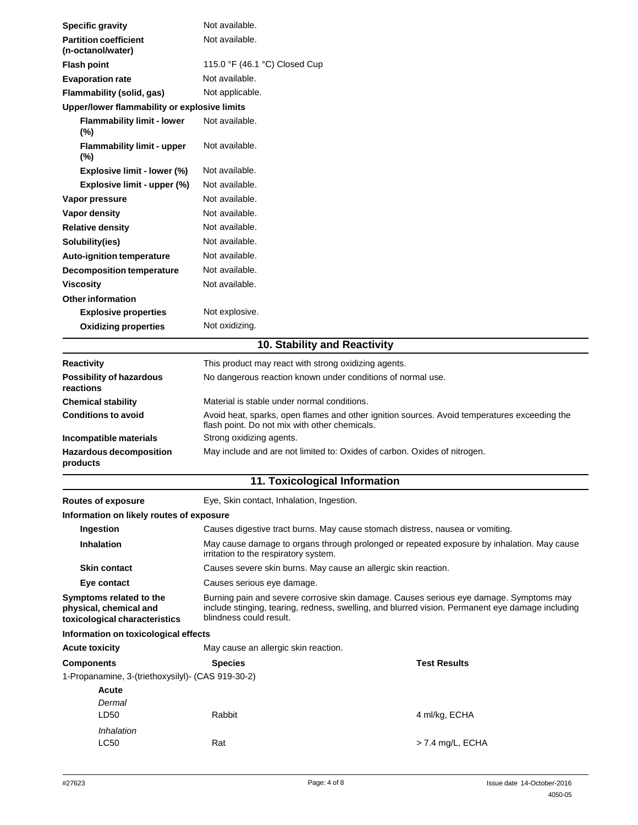| <b>Specific gravity</b>                                                            | Not available.                                                                                                                                                                                                        |                     |  |  |
|------------------------------------------------------------------------------------|-----------------------------------------------------------------------------------------------------------------------------------------------------------------------------------------------------------------------|---------------------|--|--|
| <b>Partition coefficient</b><br>(n-octanol/water)                                  | Not available.                                                                                                                                                                                                        |                     |  |  |
| <b>Flash point</b>                                                                 | 115.0 °F (46.1 °C) Closed Cup                                                                                                                                                                                         |                     |  |  |
| <b>Evaporation rate</b>                                                            | Not available.                                                                                                                                                                                                        |                     |  |  |
| Flammability (solid, gas)                                                          | Not applicable.                                                                                                                                                                                                       |                     |  |  |
| Upper/lower flammability or explosive limits                                       |                                                                                                                                                                                                                       |                     |  |  |
| <b>Flammability limit - lower</b><br>(%)                                           | Not available.                                                                                                                                                                                                        |                     |  |  |
| <b>Flammability limit - upper</b><br>$(\%)$                                        | Not available.                                                                                                                                                                                                        |                     |  |  |
| Explosive limit - lower (%)                                                        | Not available.                                                                                                                                                                                                        |                     |  |  |
| Explosive limit - upper (%)                                                        | Not available.                                                                                                                                                                                                        |                     |  |  |
| Vapor pressure                                                                     | Not available.                                                                                                                                                                                                        |                     |  |  |
| Vapor density                                                                      | Not available.                                                                                                                                                                                                        |                     |  |  |
| <b>Relative density</b>                                                            | Not available.                                                                                                                                                                                                        |                     |  |  |
| Solubility(ies)                                                                    | Not available.                                                                                                                                                                                                        |                     |  |  |
| Auto-ignition temperature                                                          | Not available.                                                                                                                                                                                                        |                     |  |  |
| <b>Decomposition temperature</b>                                                   | Not available.                                                                                                                                                                                                        |                     |  |  |
| <b>Viscosity</b>                                                                   | Not available.                                                                                                                                                                                                        |                     |  |  |
| <b>Other information</b>                                                           |                                                                                                                                                                                                                       |                     |  |  |
| <b>Explosive properties</b>                                                        | Not explosive.                                                                                                                                                                                                        |                     |  |  |
| <b>Oxidizing properties</b>                                                        | Not oxidizing.                                                                                                                                                                                                        |                     |  |  |
|                                                                                    | 10. Stability and Reactivity                                                                                                                                                                                          |                     |  |  |
| <b>Reactivity</b>                                                                  | This product may react with strong oxidizing agents.                                                                                                                                                                  |                     |  |  |
| <b>Possibility of hazardous</b><br>reactions                                       | No dangerous reaction known under conditions of normal use.                                                                                                                                                           |                     |  |  |
| <b>Chemical stability</b>                                                          | Material is stable under normal conditions.                                                                                                                                                                           |                     |  |  |
| <b>Conditions to avoid</b>                                                         | Avoid heat, sparks, open flames and other ignition sources. Avoid temperatures exceeding the<br>flash point. Do not mix with other chemicals.                                                                         |                     |  |  |
| Incompatible materials                                                             | Strong oxidizing agents.                                                                                                                                                                                              |                     |  |  |
| <b>Hazardous decomposition</b><br>products                                         | May include and are not limited to: Oxides of carbon. Oxides of nitrogen.                                                                                                                                             |                     |  |  |
|                                                                                    | 11. Toxicological Information                                                                                                                                                                                         |                     |  |  |
| <b>Routes of exposure</b>                                                          | Eye, Skin contact, Inhalation, Ingestion.                                                                                                                                                                             |                     |  |  |
| Information on likely routes of exposure                                           |                                                                                                                                                                                                                       |                     |  |  |
| Ingestion                                                                          | Causes digestive tract burns. May cause stomach distress, nausea or vomiting.                                                                                                                                         |                     |  |  |
| Inhalation                                                                         | May cause damage to organs through prolonged or repeated exposure by inhalation. May cause<br>irritation to the respiratory system.                                                                                   |                     |  |  |
| <b>Skin contact</b>                                                                | Causes severe skin burns. May cause an allergic skin reaction.                                                                                                                                                        |                     |  |  |
| Eye contact                                                                        | Causes serious eye damage.                                                                                                                                                                                            |                     |  |  |
| Symptoms related to the<br>physical, chemical and<br>toxicological characteristics | Burning pain and severe corrosive skin damage. Causes serious eye damage. Symptoms may<br>include stinging, tearing, redness, swelling, and blurred vision. Permanent eye damage including<br>blindness could result. |                     |  |  |
| Information on toxicological effects                                               |                                                                                                                                                                                                                       |                     |  |  |
| <b>Acute toxicity</b>                                                              | May cause an allergic skin reaction.                                                                                                                                                                                  |                     |  |  |
| <b>Components</b>                                                                  | <b>Species</b>                                                                                                                                                                                                        | <b>Test Results</b> |  |  |
| 1-Propanamine, 3-(triethoxysilyl)- (CAS 919-30-2)                                  |                                                                                                                                                                                                                       |                     |  |  |
| <b>Acute</b>                                                                       |                                                                                                                                                                                                                       |                     |  |  |
| Dermal                                                                             |                                                                                                                                                                                                                       |                     |  |  |
| LD50                                                                               | Rabbit                                                                                                                                                                                                                | 4 ml/kg, ECHA       |  |  |
| Inhalation<br><b>LC50</b>                                                          | Rat                                                                                                                                                                                                                   | $>$ 7.4 mg/L, ECHA  |  |  |
|                                                                                    |                                                                                                                                                                                                                       |                     |  |  |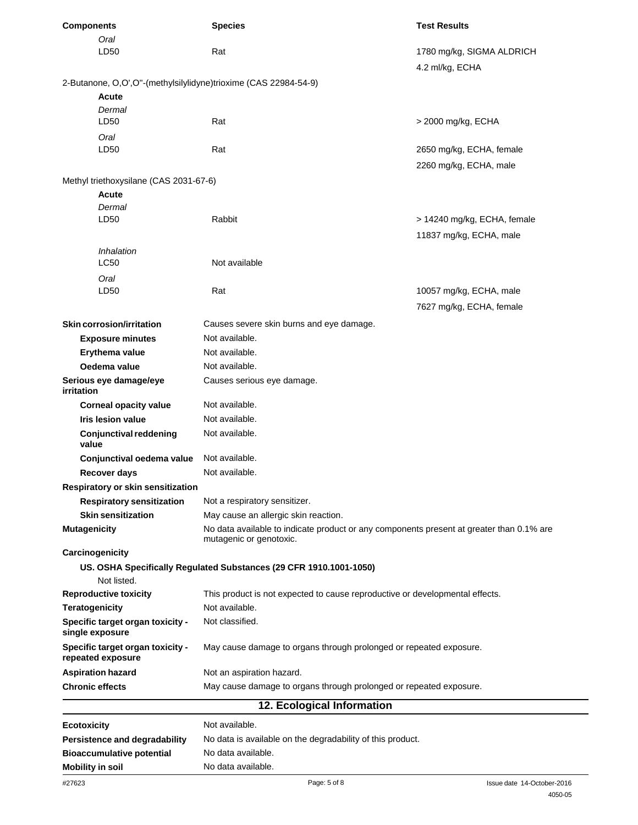| <b>Components</b>                                               | <b>Species</b>                                                                                                      | <b>Test Results</b>         |  |
|-----------------------------------------------------------------|---------------------------------------------------------------------------------------------------------------------|-----------------------------|--|
| Oral                                                            |                                                                                                                     |                             |  |
| LD50                                                            | Rat                                                                                                                 | 1780 mg/kg, SIGMA ALDRICH   |  |
|                                                                 |                                                                                                                     | 4.2 ml/kg, ECHA             |  |
| 2-Butanone, O,O',O"-(methylsilylidyne)trioxime (CAS 22984-54-9) |                                                                                                                     |                             |  |
| Acute                                                           |                                                                                                                     |                             |  |
| Dermal<br>LD50                                                  | Rat                                                                                                                 | > 2000 mg/kg, ECHA          |  |
| Oral                                                            |                                                                                                                     |                             |  |
| LD50                                                            | Rat                                                                                                                 | 2650 mg/kg, ECHA, female    |  |
|                                                                 |                                                                                                                     | 2260 mg/kg, ECHA, male      |  |
| Methyl triethoxysilane (CAS 2031-67-6)                          |                                                                                                                     |                             |  |
| Acute                                                           |                                                                                                                     |                             |  |
| Dermal                                                          |                                                                                                                     |                             |  |
| LD50                                                            | Rabbit                                                                                                              | > 14240 mg/kg, ECHA, female |  |
|                                                                 |                                                                                                                     | 11837 mg/kg, ECHA, male     |  |
| Inhalation                                                      |                                                                                                                     |                             |  |
| <b>LC50</b>                                                     | Not available                                                                                                       |                             |  |
| Oral                                                            |                                                                                                                     |                             |  |
| LD50                                                            | Rat                                                                                                                 | 10057 mg/kg, ECHA, male     |  |
|                                                                 |                                                                                                                     | 7627 mg/kg, ECHA, female    |  |
| Skin corrosion/irritation                                       | Causes severe skin burns and eye damage.                                                                            |                             |  |
| <b>Exposure minutes</b>                                         | Not available.                                                                                                      |                             |  |
| Erythema value                                                  | Not available.                                                                                                      |                             |  |
| Oedema value                                                    | Not available.                                                                                                      |                             |  |
| Serious eye damage/eye<br>irritation                            | Causes serious eye damage.                                                                                          |                             |  |
| <b>Corneal opacity value</b>                                    | Not available.                                                                                                      |                             |  |
| <b>Iris lesion value</b>                                        | Not available.                                                                                                      |                             |  |
| <b>Conjunctival reddening</b><br>value                          | Not available.                                                                                                      |                             |  |
| Conjunctival oedema value                                       | Not available.                                                                                                      |                             |  |
| Recover days                                                    | Not available.                                                                                                      |                             |  |
| Respiratory or skin sensitization                               |                                                                                                                     |                             |  |
| <b>Respiratory sensitization</b>                                | Not a respiratory sensitizer.                                                                                       |                             |  |
| <b>Skin sensitization</b>                                       | May cause an allergic skin reaction.                                                                                |                             |  |
| <b>Mutagenicity</b>                                             | No data available to indicate product or any components present at greater than 0.1% are<br>mutagenic or genotoxic. |                             |  |
| Carcinogenicity                                                 |                                                                                                                     |                             |  |
| Not listed.                                                     | US. OSHA Specifically Regulated Substances (29 CFR 1910.1001-1050)                                                  |                             |  |
| <b>Reproductive toxicity</b>                                    | This product is not expected to cause reproductive or developmental effects.                                        |                             |  |
| <b>Teratogenicity</b>                                           | Not available.                                                                                                      |                             |  |
| Specific target organ toxicity -                                | Not classified.                                                                                                     |                             |  |
| single exposure                                                 |                                                                                                                     |                             |  |
| Specific target organ toxicity -<br>repeated exposure           | May cause damage to organs through prolonged or repeated exposure.                                                  |                             |  |
| <b>Aspiration hazard</b>                                        | Not an aspiration hazard.                                                                                           |                             |  |
| <b>Chronic effects</b>                                          | May cause damage to organs through prolonged or repeated exposure.                                                  |                             |  |
|                                                                 | 12. Ecological Information                                                                                          |                             |  |
| <b>Ecotoxicity</b>                                              | Not available.                                                                                                      |                             |  |
| Persistence and degradability                                   | No data is available on the degradability of this product.                                                          |                             |  |
| <b>Bioaccumulative potential</b>                                | No data available.                                                                                                  |                             |  |
| <b>Mobility in soil</b>                                         | No data available.                                                                                                  |                             |  |
| #27623                                                          | Page: 5 of 8                                                                                                        | Issue date 14-October-2016  |  |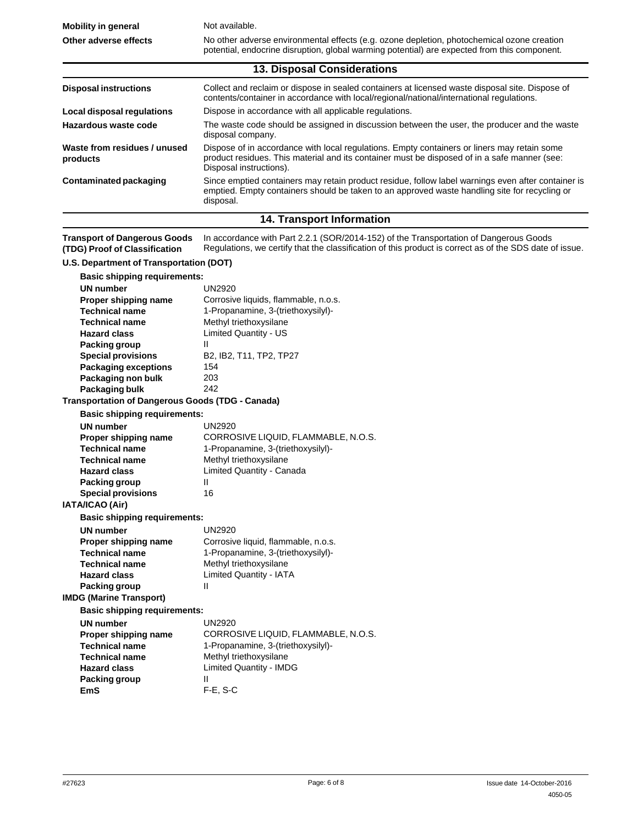**Mobility in general Other adverse effects** Not available. No other adverse environmental effects (e.g. ozone depletion, photochemical ozone creation potential, endocrine disruption, global warming potential) are expected from this component. **13. Disposal Considerations Disposal instructions** Collect and reclaim or dispose in sealed containers at licensed waste disposal site. Dispose of contents/container in accordance with local/regional/national/international regulations. Dispose in accordance with all applicable regulations. The waste code should be assigned in discussion between the user, the producer and the waste disposal company. Dispose of in accordance with local regulations. Empty containers or liners may retain some product residues. This material and its container must be disposed of in a safe manner (see: Disposal instructions). Since emptied containers may retain product residue, follow label warnings even after container is emptied. Empty containers should be taken to an approved waste handling site for recycling or **Local disposal regulations Hazardous waste code Waste from residues / unused products Contaminated packaging**

## **14. Transport Information**

**Transport of Dangerous Goods (TDG) Proof of Classification** In accordance with Part 2.2.1 (SOR/2014-152) of the Transportation of Dangerous Goods Regulations, we certify that the classification of this product is correct as of the SDS date of issue.

## **U.S. Department of Transportation (DOT)**

| <b>Basic shipping requirements:</b>              |                                      |
|--------------------------------------------------|--------------------------------------|
| <b>UN</b> number                                 | <b>UN2920</b>                        |
| Proper shipping name                             | Corrosive liquids, flammable, n.o.s. |
| <b>Technical name</b>                            | 1-Propanamine, 3-(triethoxysilyl)-   |
| <b>Technical name</b>                            | Methyl triethoxysilane               |
| <b>Hazard class</b>                              | <b>Limited Quantity - US</b>         |
| Packing group                                    | П                                    |
| <b>Special provisions</b>                        | B2, IB2, T11, TP2, TP27              |
| <b>Packaging exceptions</b>                      | 154                                  |
| Packaging non bulk                               | 203                                  |
| Packaging bulk                                   | 242                                  |
| Transportation of Dangerous Goods (TDG - Canada) |                                      |
| <b>Basic shipping requirements:</b>              |                                      |
| <b>UN</b> number                                 | UN2920                               |
| Proper shipping name                             | CORROSIVE LIQUID, FLAMMABLE, N.O.S.  |
| <b>Technical name</b>                            | 1-Propanamine, 3-(triethoxysilyl)-   |
| <b>Technical name</b>                            | Methyl triethoxysilane               |
| <b>Hazard class</b>                              | Limited Quantity - Canada            |
| Packing group                                    | Ш                                    |
| <b>Special provisions</b>                        | 16                                   |
| <b>IATA/ICAO (Air)</b>                           |                                      |
| <b>Basic shipping requirements:</b>              |                                      |
| <b>UN</b> number                                 | <b>UN2920</b>                        |
| Proper shipping name                             | Corrosive liquid, flammable, n.o.s.  |
| <b>Technical name</b>                            | 1-Propanamine, 3-(triethoxysilyl)-   |
| <b>Technical name</b>                            | Methyl triethoxysilane               |
| <b>Hazard class</b>                              | <b>Limited Quantity - IATA</b>       |
| <b>Packing group</b>                             | Ш                                    |
| <b>IMDG (Marine Transport)</b>                   |                                      |
| <b>Basic shipping requirements:</b>              |                                      |
| <b>UN</b> number                                 | <b>UN2920</b>                        |
| Proper shipping name                             | CORROSIVE LIQUID, FLAMMABLE, N.O.S.  |
| <b>Technical name</b>                            | 1-Propanamine, 3-(triethoxysilyl)-   |
| <b>Technical name</b>                            | Methyl triethoxysilane               |
| <b>Hazard class</b>                              | <b>Limited Quantity - IMDG</b>       |
| Packing group                                    | Ш                                    |
| FmS.                                             | $F-F.S-C$                            |

disposal.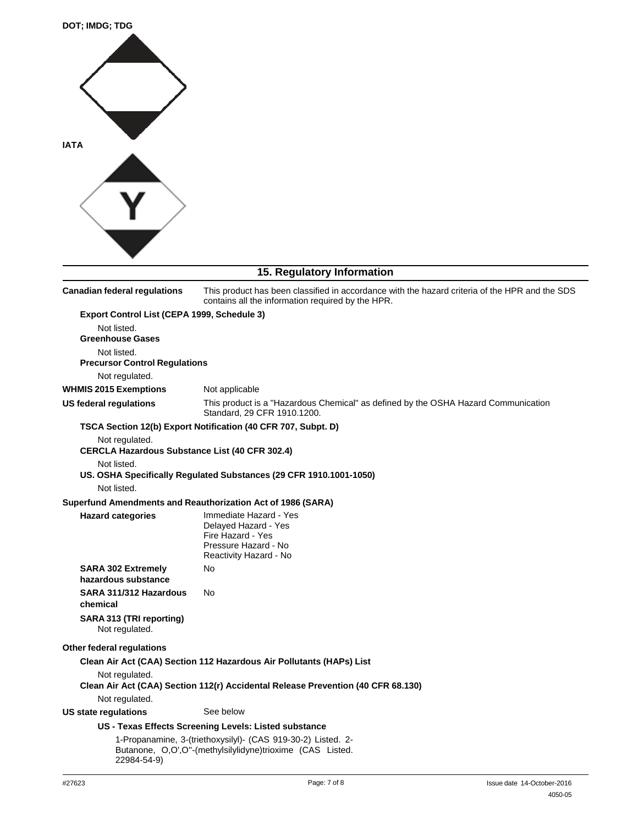

## **15. Regulatory Information**

**Canadian federal regulations** This product has been classified in accordance with the hazard criteria of the HPR and the SDS contains all the information required by the HPR. **Export Control List (CEPA 1999, Schedule 3)** Not listed. **Greenhouse Gases** Not listed. **Precursor Control Regulations** Not regulated. Not applicable This product is a "Hazardous Chemical" as defined by the OSHA Hazard Communication Standard, 29 CFR 1910.1200. **WHMIS 2015 Exemptions US federal regulations TSCA Section 12(b) Export Notification (40 CFR 707, Subpt. D)** Not regulated. **CERCLA Hazardous Substance List (40 CFR 302.4)** Not listed. **US. OSHA Specifically Regulated Substances (29 CFR 1910.1001-1050)** Not listed. **Superfund Amendments and Reauthorization Act of 1986 (SARA) Hazard categories** Immediate Hazard - Yes Delayed Hazard - Yes Fire Hazard - Yes Pressure Hazard - No Reactivity Hazard - No **SARA 302 Extremely** No **hazardous substance SARA 311/312 Hazardous chemical SARA 313 (TRI reporting)** Not regulated. No **Other federal regulations Clean Air Act (CAA) Section 112 Hazardous Air Pollutants (HAPs) List** Not regulated. **Clean Air Act (CAA) Section 112(r) Accidental Release Prevention (40 CFR 68.130)** Not regulated. **US state requlations** See below **US - Texas Effects Screening Levels: Listed substance** 1-Propanamine, 3-(triethoxysilyl)- (CAS 919-30-2) Listed. 2- Butanone, O,O',O''-(methylsilylidyne)trioxime (CAS Listed. 22984-54-9)